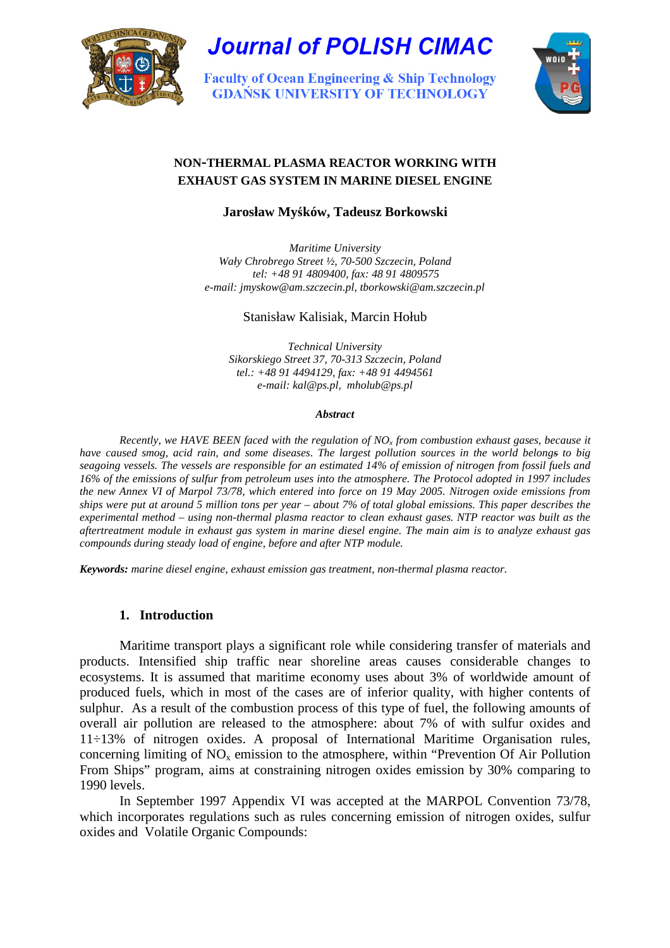

# **Journal of POLISH CIMAC**

**Faculty of Ocean Engineering & Ship Technology GDAŃSK UNIVERSITY OF TECHNOLOGY** 



# **NON-THERMAL PLASMA REACTOR WORKING WITH EXHAUST GAS SYSTEM IN MARINE DIESEL ENGINE**

# **Jarosław My**ś**ków, Tadeusz Borkowski**

*Maritime University Wały Chrobrego Street ½, 70-500 Szczecin, Poland tel: +48 91 4809400, fax: 48 91 4809575 e-mail: jmyskow@am.szczecin.pl*, *tborkowski@am.szczecin.pl* 

## Stanisław Kalisiak, Marcin Hołub

*Technical University Sikorskiego Street 37, 70-313 Szczecin, Poland tel.: +48 91 4494129, fax: +48 91 4494561 e-mail: kal@ps.pl, mholub@ps.pl* 

#### *Abstract*

*Recently, we HAVE BEEN faced with the regulation of NO<sup>x</sup> from combustion exhaust gases, because it have caused smog, acid rain, and some diseases*. *The largest pollution sources in the world belongs to big seagoing vessels. The vessels are responsible for an estimated 14% of emission of nitrogen from fossil fuels and 16% of the emissions of sulfur from petroleum uses into the atmosphere. The Protocol adopted in 1997 includes the new Annex VI of Marpol 73/78, which entered into force on 19 May 2005. Nitrogen oxide emissions from ships were put at around 5 million tons per year – about 7% of total global emissions. This paper describes the experimental method – using non-thermal plasma reactor to clean exhaust gases. NTP reactor was built as the aftertreatment module in exhaust gas system in marine diesel engine. The main aim is to analyze exhaust gas compounds during steady load of engine, before and after NTP module.* 

*Keywords: marine diesel engine, exhaust emission gas treatment, non-thermal plasma reactor.* 

## **1. Introduction**

 Maritime transport plays a significant role while considering transfer of materials and products. Intensified ship traffic near shoreline areas causes considerable changes to ecosystems. It is assumed that maritime economy uses about 3% of worldwide amount of produced fuels, which in most of the cases are of inferior quality, with higher contents of sulphur. As a result of the combustion process of this type of fuel, the following amounts of overall air pollution are released to the atmosphere: about 7% of with sulfur oxides and 11÷13% of nitrogen oxides. A proposal of International Maritime Organisation rules, concerning limiting of  $NO<sub>x</sub>$  emission to the atmosphere, within "Prevention Of Air Pollution" From Ships" program, aims at constraining nitrogen oxides emission by 30% comparing to 1990 levels.

 In September 1997 Appendix VI was accepted at the MARPOL Convention 73/78, which incorporates regulations such as rules concerning emission of nitrogen oxides, sulfur oxides and Volatile Organic Compounds: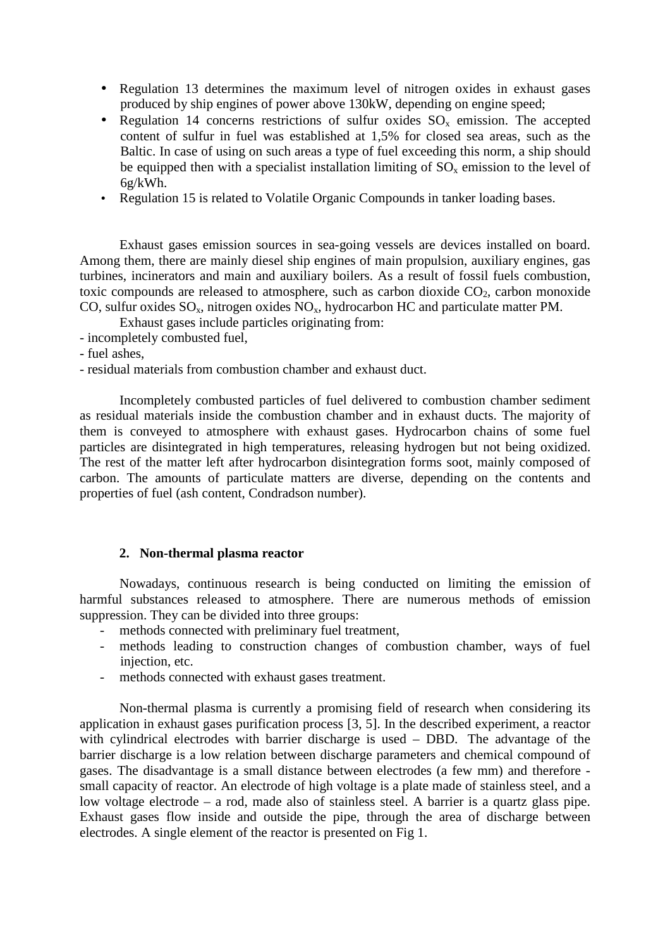- Regulation 13 determines the maximum level of nitrogen oxides in exhaust gases produced by ship engines of power above 130kW, depending on engine speed;
- Regulation 14 concerns restrictions of sulfur oxides  $SO_x$  emission. The accepted content of sulfur in fuel was established at 1,5% for closed sea areas, such as the Baltic. In case of using on such areas a type of fuel exceeding this norm, a ship should be equipped then with a specialist installation limiting of  $SO<sub>x</sub>$  emission to the level of 6g/kWh.
- Regulation 15 is related to Volatile Organic Compounds in tanker loading bases.

 Exhaust gases emission sources in sea-going vessels are devices installed on board. Among them, there are mainly diesel ship engines of main propulsion, auxiliary engines, gas turbines, incinerators and main and auxiliary boilers. As a result of fossil fuels combustion, toxic compounds are released to atmosphere, such as carbon dioxide  $CO<sub>2</sub>$ , carbon monoxide CO, sulfur oxides  $SO_x$ , nitrogen oxides  $NO_x$ , hydrocarbon HC and particulate matter PM.

Exhaust gases include particles originating from:

- incompletely combusted fuel,
- fuel ashes,
- residual materials from combustion chamber and exhaust duct.

 Incompletely combusted particles of fuel delivered to combustion chamber sediment as residual materials inside the combustion chamber and in exhaust ducts. The majority of them is conveyed to atmosphere with exhaust gases. Hydrocarbon chains of some fuel particles are disintegrated in high temperatures, releasing hydrogen but not being oxidized. The rest of the matter left after hydrocarbon disintegration forms soot, mainly composed of carbon. The amounts of particulate matters are diverse, depending on the contents and properties of fuel (ash content, Condradson number).

## **2. Non-thermal plasma reactor**

 Nowadays, continuous research is being conducted on limiting the emission of harmful substances released to atmosphere. There are numerous methods of emission suppression. They can be divided into three groups:

- methods connected with preliminary fuel treatment,
- methods leading to construction changes of combustion chamber, ways of fuel injection, etc.
- methods connected with exhaust gases treatment.

 Non-thermal plasma is currently a promising field of research when considering its application in exhaust gases purification process [3, 5]. In the described experiment, a reactor with cylindrical electrodes with barrier discharge is used – DBD. The advantage of the barrier discharge is a low relation between discharge parameters and chemical compound of gases. The disadvantage is a small distance between electrodes (a few mm) and therefore small capacity of reactor. An electrode of high voltage is a plate made of stainless steel, and a low voltage electrode – a rod, made also of stainless steel. A barrier is a quartz glass pipe. Exhaust gases flow inside and outside the pipe, through the area of discharge between electrodes. A single element of the reactor is presented on Fig 1.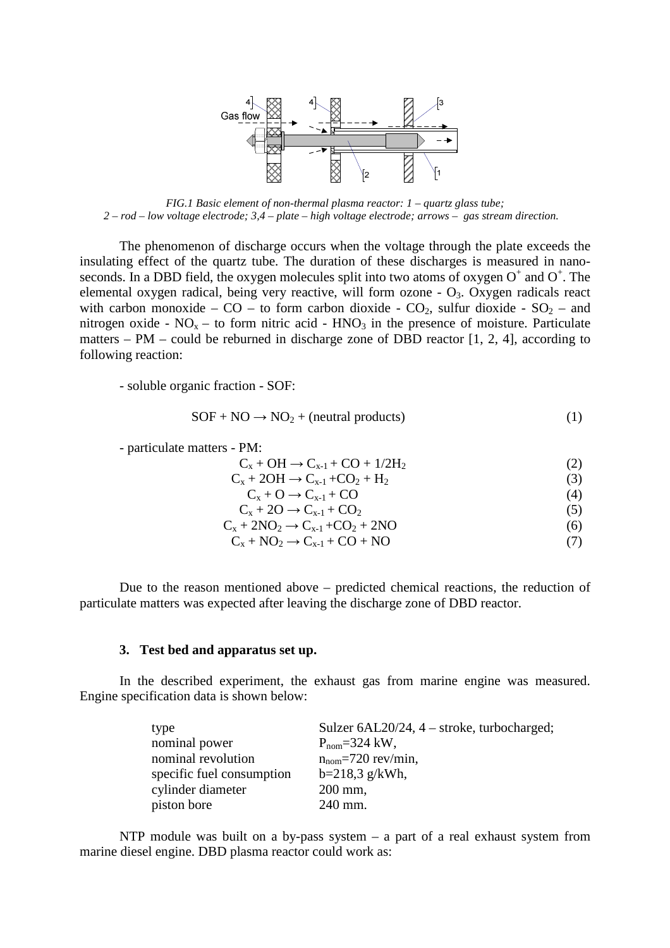

*FIG.1 Basic element of non-thermal plasma reactor: 1 – quartz glass tube; 2 – rod – low voltage electrode; 3,4 – plate – high voltage electrode; arrows – gas stream direction.*

 The phenomenon of discharge occurs when the voltage through the plate exceeds the insulating effect of the quartz tube. The duration of these discharges is measured in nanoseconds. In a DBD field, the oxygen molecules split into two atoms of oxygen  $O^+$  and  $O^+$ . The elemental oxygen radical, being very reactive, will form ozone -  $O_3$ . Oxygen radicals react with carbon monoxide – CO – to form carbon dioxide - CO<sub>2</sub>, sulfur dioxide - SO<sub>2</sub> – and nitrogen oxide -  $NO<sub>x</sub>$  – to form nitric acid -  $HNO<sub>3</sub>$  in the presence of moisture. Particulate matters – PM – could be reburned in discharge zone of DBD reactor [1, 2, 4], according to following reaction:

- soluble organic fraction - SOF:

$$
SOF + NO \rightarrow NO_2 + (neutral\ products)
$$
 (1)

- particulate matters - PM:

$$
C_x + OH \rightarrow C_{x-1} + CO + 1/2H_2
$$
 (2)

 $C_x + 2OH \rightarrow C_{x-1} + CO_2 + H_2$  (3)

 $C_x + O \rightarrow C_{x-1} + CO$  (4)

 $C_x + 2O \rightarrow C_{x-1} + CO_2$  (5)  $C_x + 2NO_2 \rightarrow C_{x-1} + CO_2 + 2NO$  (6)

$$
C_x + NO_2 \to C_{x-1} + CO + NO
$$
 (7)

 Due to the reason mentioned above – predicted chemical reactions, the reduction of particulate matters was expected after leaving the discharge zone of DBD reactor.

### **3. Test bed and apparatus set up.**

 In the described experiment, the exhaust gas from marine engine was measured. Engine specification data is shown below:

| type                      | Sulzer 6AL20/24, 4 – stroke, turbocharged; |
|---------------------------|--------------------------------------------|
| nominal power             | $P_{\text{nom}} = 324$ kW,                 |
| nominal revolution        | $n_{\text{nom}} = 720$ rev/min,            |
| specific fuel consumption | $b=218,3$ g/kWh,                           |
| cylinder diameter         | $200$ mm,                                  |
| piston bore               | 240 mm.                                    |

NTP module was built on a by-pass system  $-$  a part of a real exhaust system from marine diesel engine. DBD plasma reactor could work as: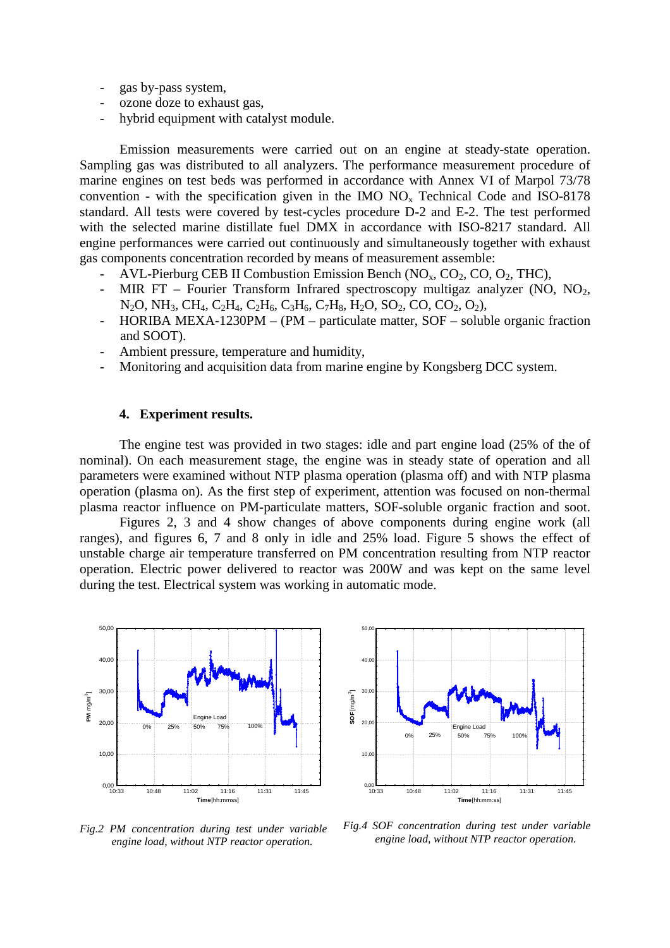- gas by-pass system,
- ozone doze to exhaust gas,
- hybrid equipment with catalyst module.

 Emission measurements were carried out on an engine at steady-state operation. Sampling gas was distributed to all analyzers. The performance measurement procedure of marine engines on test beds was performed in accordance with Annex VI of Marpol 73/78 convention - with the specification given in the IMO  $NO<sub>x</sub>$  Technical Code and ISO-8178 standard. All tests were covered by test-cycles procedure D-2 and E-2. The test performed with the selected marine distillate fuel DMX in accordance with ISO-8217 standard. All engine performances were carried out continuously and simultaneously together with exhaust gas components concentration recorded by means of measurement assemble:

- AVL-Pierburg CEB II Combustion Emission Bench  $(NO<sub>x</sub>, CO<sub>2</sub>, CO, O<sub>2</sub>, THC)$ ,
- MIR FT Fourier Transform Infrared spectroscopy multigaz analyzer (NO,  $NO<sub>2</sub>$ , N<sub>2</sub>O, NH<sub>3</sub>, CH<sub>4</sub>, C<sub>2</sub>H<sub>4</sub>, C<sub>2</sub>H<sub>6</sub>, C<sub>3</sub>H<sub>6</sub>, C<sub>7</sub>H<sub>8</sub>, H<sub>2</sub>O, SO<sub>2</sub>, CO, CO<sub>2</sub>, O<sub>2</sub>),
- HORIBA MEXA-1230PM (PM particulate matter, SOF soluble organic fraction and SOOT).
- Ambient pressure, temperature and humidity,
- Monitoring and acquisition data from marine engine by Kongsberg DCC system.

#### **4. Experiment results.**

 The engine test was provided in two stages: idle and part engine load (25% of the of nominal). On each measurement stage, the engine was in steady state of operation and all parameters were examined without NTP plasma operation (plasma off) and with NTP plasma operation (plasma on). As the first step of experiment, attention was focused on non-thermal plasma reactor influence on PM-particulate matters, SOF-soluble organic fraction and soot.

 Figures 2, 3 and 4 show changes of above components during engine work (all ranges), and figures 6, 7 and 8 only in idle and 25% load. Figure 5 shows the effect of unstable charge air temperature transferred on PM concentration resulting from NTP reactor operation. Electric power delivered to reactor was 200W and was kept on the same level during the test. Electrical system was working in automatic mode.





*Fig.2 PM concentration during test under variable engine load, without NTP reactor operation.* 

*Fig.4 SOF concentration during test under variable engine load, without NTP reactor operation.*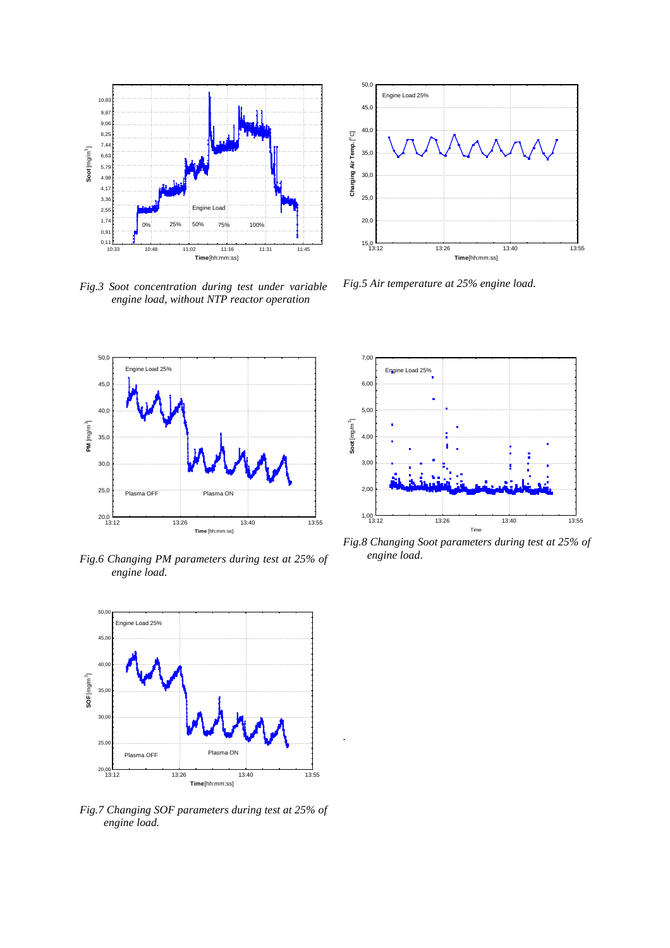

*Fig.3 Soot concentration during test under variable engine load, without NTP reactor operation* 



*Fig.6 Changing PM parameters during test at 25% of engine load.* 



*.*

*Fig.7 Changing SOF parameters during test at 25% of engine load.* 



*Fig.5 Air temperature at 25% engine load.* 



*Fig.8 Changing Soot parameters during test at 25% of engine load*.